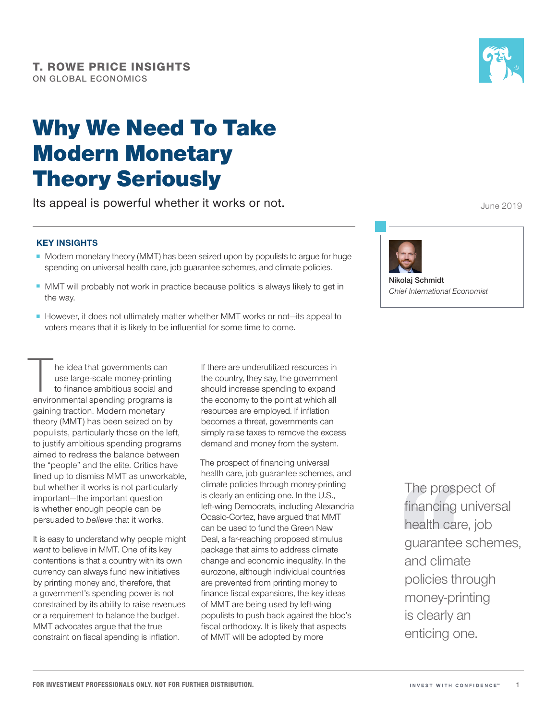# Why We Need To Take Modern Monetary Theory Seriously

Its appeal is powerful whether it works or not.

## **KEY INSIGHTS**

- Modern monetary theory (MMT) has been seized upon by populists to argue for huge spending on universal health care, job guarantee schemes, and climate policies.
- MMT will probably not work in practice because politics is always likely to get in the way.
- However, it does not ultimately matter whether MMT works or not—its appeal to voters means that it is likely to be influential for some time to come.

The idea that governments can<br>use large-scale money-printing<br>to finance ambitious social and<br>environmental spending programs is use large-scale money-printing to finance ambitious social and environmental spending programs is gaining traction. Modern monetary theory (MMT) has been seized on by populists, particularly those on the left, to justify ambitious spending programs aimed to redress the balance between the "people" and the elite. Critics have lined up to dismiss MMT as unworkable, but whether it works is not particularly important—the important question is whether enough people can be persuaded to *believe* that it works.

It is easy to understand why people might *want* to believe in MMT. One of its key contentions is that a country with its own currency can always fund new initiatives by printing money and, therefore, that a government's spending power is not constrained by its ability to raise revenues or a requirement to balance the budget. MMT advocates arque that the true constraint on fiscal spending is inflation.

If there are underutilized resources in the country, they say, the government should increase spending to expand the economy to the point at which all resources are employed. If inflation becomes a threat, governments can simply raise taxes to remove the excess demand and money from the system.

The prospect of financing universal health care, job guarantee schemes, and climate policies through money-printing is clearly an enticing one. In the U.S., left-wing Democrats, including Alexandria Ocasio-Cortez, have argued that MMT can be used to fund the Green New Deal, a far-reaching proposed stimulus package that aims to address climate change and economic inequality. In the eurozone, although individual countries are prevented from printing money to finance fiscal expansions, the key ideas of MMT are being used by left-wing populists to push back against the bloc's fiscal orthodoxy. It is likely that aspects of MMT will be adopted by more

The prospect of financing universal health care, job guarantee schemes, and climate policies through money-printing is clearly an enticing one.



June 2019



**Nikolaj Schmidt** *Chief International Economist*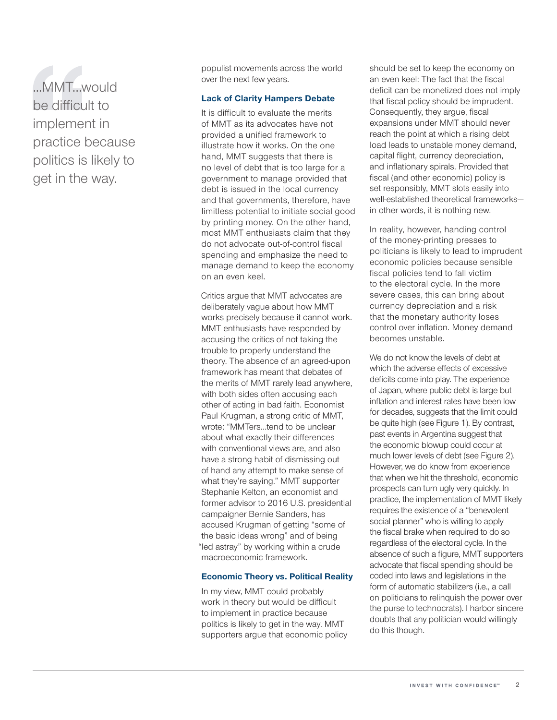...MMT…would be difficult to implement in practice because politics is likely to get in the way.

populist movements across the world over the next few years.

#### **Lack of Clarity Hampers Debate**

It is difficult to evaluate the merits of MMT as its advocates have not provided a unified framework to illustrate how it works. On the one hand, MMT suggests that there is no level of debt that is too large for a government to manage provided that debt is issued in the local currency and that governments, therefore, have limitless potential to initiate social good by printing money. On the other hand, most MMT enthusiasts claim that they do not advocate out-of-control fiscal spending and emphasize the need to manage demand to keep the economy on an even keel.

Critics argue that MMT advocates are deliberately vague about how MMT works precisely because it cannot work. MMT enthusiasts have responded by accusing the critics of not taking the trouble to properly understand the theory. The absence of an agreed-upon framework has meant that debates of the merits of MMT rarely lead anywhere, with both sides often accusing each other of acting in bad faith. Economist Paul Krugman, a strong critic of MMT, wrote: "MMTers…tend to be unclear about what exactly their differences with conventional views are, and also have a strong habit of dismissing out of hand any attempt to make sense of what they're saying." MMT supporter Stephanie Kelton, an economist and former advisor to 2016 U.S. presidential campaigner Bernie Sanders, has accused Krugman of getting "some of the basic ideas wrong" and of being "led astray" by working within a crude macroeconomic framework.

### **Economic Theory vs. Political Reality**

In my view, MMT could probably work in theory but would be difficult to implement in practice because politics is likely to get in the way. MMT supporters argue that economic policy should be set to keep the economy on an even keel: The fact that the fiscal deficit can be monetized does not imply that fiscal policy should be imprudent. Consequently, they argue, fiscal expansions under MMT should never reach the point at which a rising debt load leads to unstable money demand, capital flight, currency depreciation, and inflationary spirals. Provided that fiscal (and other economic) policy is set responsibly, MMT slots easily into well-established theoretical frameworks in other words, it is nothing new.

In reality, however, handing control of the money-printing presses to politicians is likely to lead to imprudent economic policies because sensible fiscal policies tend to fall victim to the electoral cycle. In the more severe cases, this can bring about currency depreciation and a risk that the monetary authority loses control over inflation. Money demand becomes unstable.

We do not know the levels of debt at which the adverse effects of excessive deficits come into play. The experience of Japan, where public debt is large but inflation and interest rates have been low for decades, suggests that the limit could be quite high (see Figure 1). By contrast, past events in Argentina suggest that the economic blowup could occur at much lower levels of debt (see Figure 2). However, we do know from experience that when we hit the threshold, economic prospects can turn ugly very quickly. In practice, the implementation of MMT likely requires the existence of a "benevolent social planner" who is willing to apply the fiscal brake when required to do so regardless of the electoral cycle. In the absence of such a figure, MMT supporters advocate that fiscal spending should be coded into laws and legislations in the form of automatic stabilizers (i.e., a call on politicians to relinquish the power over the purse to technocrats). I harbor sincere doubts that any politician would willingly do this though.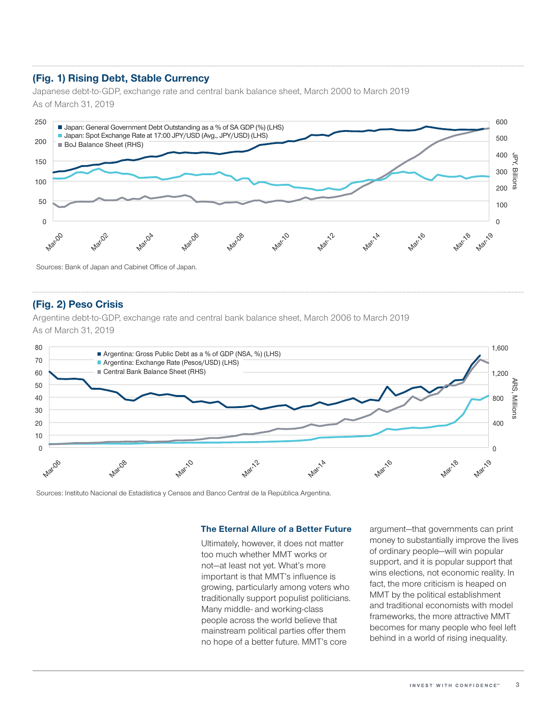# **(Fig. 1) Rising Debt, Stable Currency**

Japanese debt-to-GDP, exchange rate and central bank balance sheet, March 2000 to March 2019 As of March 31, 2019



# **(Fig. 2) Peso Crisis**

Argentine debt-to-GDP, exchange rate and central bank balance sheet, March 2006 to March 2019 As of March 31, 2019



Sources: Instituto Nacional de Estadística y Censos and Banco Central de la República Argentina.

#### **The Eternal Allure of a Better Future**

Ultimately, however, it does not matter too much whether MMT works or not—at least not yet. What's more important is that MMT's influence is growing, particularly among voters who traditionally support populist politicians. Many middle- and working-class people across the world believe that mainstream political parties offer them no hope of a better future. MMT's core

argument—that governments can print money to substantially improve the lives of ordinary people—will win popular support, and it is popular support that wins elections, not economic reality. In fact, the more criticism is heaped on MMT by the political establishment and traditional economists with model frameworks, the more attractive MMT becomes for many people who feel left behind in a world of rising inequality.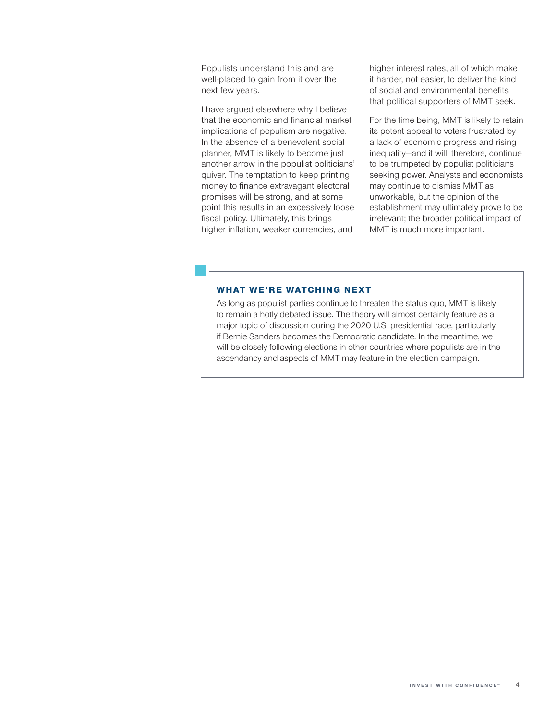Populists understand this and are well-placed to gain from it over the next few years.

I have argued elsewhere why I believe that the economic and financial market implications of populism are negative. In the absence of a benevolent social planner, MMT is likely to become just another arrow in the populist politicians' quiver. The temptation to keep printing money to finance extravagant electoral promises will be strong, and at some point this results in an excessively loose fiscal policy. Ultimately, this brings higher inflation, weaker currencies, and

higher interest rates, all of which make it harder, not easier, to deliver the kind of social and environmental benefits that political supporters of MMT seek.

For the time being, MMT is likely to retain its potent appeal to voters frustrated by a lack of economic progress and rising inequality—and it will, therefore, continue to be trumpeted by populist politicians seeking power. Analysts and economists may continue to dismiss MMT as unworkable, but the opinion of the establishment may ultimately prove to be irrelevant; the broader political impact of MMT is much more important.

#### **WHAT WE'RE WATCHING NEXT**

As long as populist parties continue to threaten the status quo, MMT is likely to remain a hotly debated issue. The theory will almost certainly feature as a major topic of discussion during the 2020 U.S. presidential race, particularly if Bernie Sanders becomes the Democratic candidate. In the meantime, we will be closely following elections in other countries where populists are in the ascendancy and aspects of MMT may feature in the election campaign.